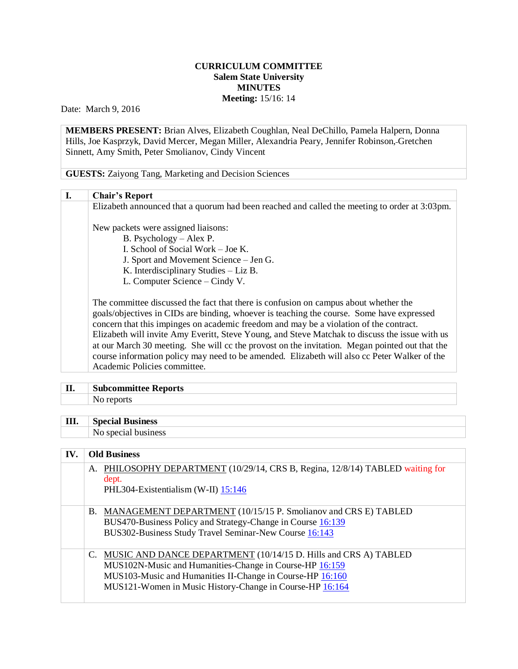## **CURRICULUM COMMITTEE Salem State University MINUTES Meeting:** 15/16: 14

Date: March 9, 2016

**MEMBERS PRESENT:** Brian Alves, Elizabeth Coughlan, Neal DeChillo, Pamela Halpern, Donna Hills, Joe Kasprzyk, David Mercer, Megan Miller, Alexandria Peary, Jennifer Robinson, Gretchen Sinnett, Amy Smith, Peter Smolianov, Cindy Vincent

**GUESTS:** Zaiyong Tang, Marketing and Decision Sciences

| I. | <b>Chair's Report</b>                                                                          |
|----|------------------------------------------------------------------------------------------------|
|    | Elizabeth announced that a quorum had been reached and called the meeting to order at 3:03pm.  |
|    | New packets were assigned liaisons:                                                            |
|    | B. Psychology – Alex P.                                                                        |
|    | I. School of Social Work - Joe K.                                                              |
|    | J. Sport and Movement Science - Jen G.                                                         |
|    | K. Interdisciplinary Studies - Liz B.                                                          |
|    | L. Computer Science – Cindy V.                                                                 |
|    | The committee discussed the fact that there is confusion on campus about whether the           |
|    | goals/objectives in CIDs are binding, whoever is teaching the course. Some have expressed      |
|    | concern that this impinges on academic freedom and may be a violation of the contract.         |
|    | Elizabeth will invite Amy Everitt, Steve Young, and Steve Matchak to discuss the issue with us |
|    | at our March 30 meeting. She will cc the provost on the invitation. Megan pointed out that the |
|    | course information policy may need to be amended. Elizabeth will also cc Peter Walker of the   |
|    | Academic Policies committee.                                                                   |

## **II. Subcommittee Reports**

No reports

| <b>III.</b> Special Business |
|------------------------------|
| No special business          |

## **IV. Old Business**

|  | A. PHILOSOPHY DEPARTMENT (10/29/14, CRS B, Regina, 12/8/14) TABLED waiting for<br>dept.<br>PHL304-Existentialism (W-II) 15:146                                                                                                                         |
|--|--------------------------------------------------------------------------------------------------------------------------------------------------------------------------------------------------------------------------------------------------------|
|  | B. MANAGEMENT DEPARTMENT (10/15/15 P. Smolianov and CRS E) TABLED<br>BUS470-Business Policy and Strategy-Change in Course 16:139<br>BUS302-Business Study Travel Seminar-New Course 16:143                                                             |
|  | C. MUSIC AND DANCE DEPARTMENT (10/14/15 D. Hills and CRS A) TABLED<br>MUS102N-Music and Humanities-Change in Course-HP 16:159<br>MUS103-Music and Humanities II-Change in Course-HP 16:160<br>MUS121-Women in Music History-Change in Course-HP 16:164 |